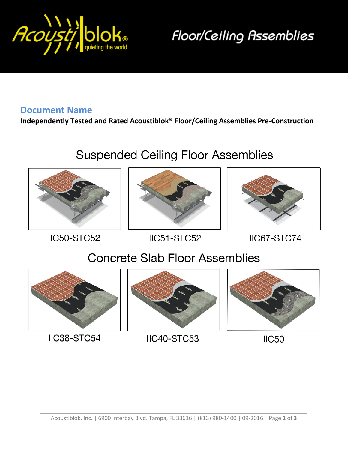

**Floor/Ceiling Assemblies** 

#### **Document Name**

**Independently Tested and Rated Acoustiblok® Floor/Ceiling Assemblies Pre-Construction**

# **Suspended Ceiling Floor Assemblies**



**IIC50-STC52** 





IIC51-STC52

IIC67-STC74

## **Concrete Slab Floor Assemblies**



IIC38-STC54



IIC40-STC53



**IIC50**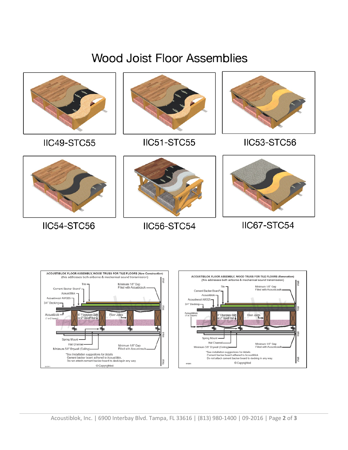# **Wood Joist Floor Assemblies**



#### IIC49-STC55



### IIC51-STC55



#### IIC53-STC56



### IIC54-STC56



### IIC56-STC54



### IIC67-STC54